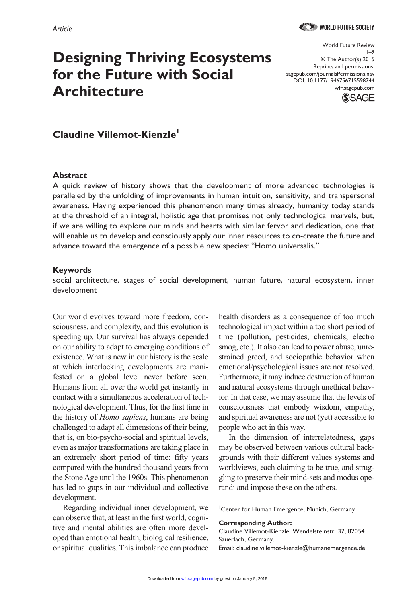# **Designing Thriving Ecosystems for the Future with Social Architecture**

World Future Review 1–9 © The Author(s) 2015 Reprints and permissions: sagepub.com/journalsPermissions.nav DOI: 10.1177/1946756715598744 wfr.sagepub.com



# **Claudine Villemot-Kienzle1**

#### **Abstract**

A quick review of history shows that the development of more advanced technologies is paralleled by the unfolding of improvements in human intuition, sensitivity, and transpersonal awareness. Having experienced this phenomenon many times already, humanity today stands at the threshold of an integral, holistic age that promises not only technological marvels, but, if we are willing to explore our minds and hearts with similar fervor and dedication, one that will enable us to develop and consciously apply our inner resources to co-create the future and advance toward the emergence of a possible new species: "Homo universalis."

#### **Keywords**

social architecture, stages of social development, human future, natural ecosystem, inner development

Our world evolves toward more freedom, consciousness, and complexity, and this evolution is speeding up. Our survival has always depended on our ability to adapt to emerging conditions of existence. What is new in our history is the scale at which interlocking developments are manifested on a global level never before seen. Humans from all over the world get instantly in contact with a simultaneous acceleration of technological development. Thus, for the first time in the history of *Homo sapiens*, humans are being challenged to adapt all dimensions of their being, that is, on bio-psycho-social and spiritual levels, even as major transformations are taking place in an extremely short period of time: fifty years compared with the hundred thousand years from the Stone Age until the 1960s. This phenomenon has led to gaps in our individual and collective development.

Regarding individual inner development, we can observe that, at least in the first world, cognitive and mental abilities are often more developed than emotional health, biological resilience, or spiritual qualities. This imbalance can produce

health disorders as a consequence of too much technological impact within a too short period of time (pollution, pesticides, chemicals, electro smog, etc.). It also can lead to power abuse, unrestrained greed, and sociopathic behavior when emotional/psychological issues are not resolved. Furthermore, it may induce destruction of human and natural ecosystems through unethical behavior. In that case, we may assume that the levels of consciousness that embody wisdom, empathy, and spiritual awareness are not (yet) accessible to people who act in this way.

In the dimension of interrelatedness, gaps may be observed between various cultural backgrounds with their different values systems and worldviews, each claiming to be true, and struggling to preserve their mind-sets and modus operandi and impose these on the others.

1 Center for Human Emergence, Munich, Germany

**Corresponding Author:**

Claudine Villemot-Kienzle, Wendelsteinstr. 37, 82054 Sauerlach, Germany. Email: [claudine.villemot-kienzle@humanemergence.de](mailto:claudine.villemot-kienzle@humanemergence.de)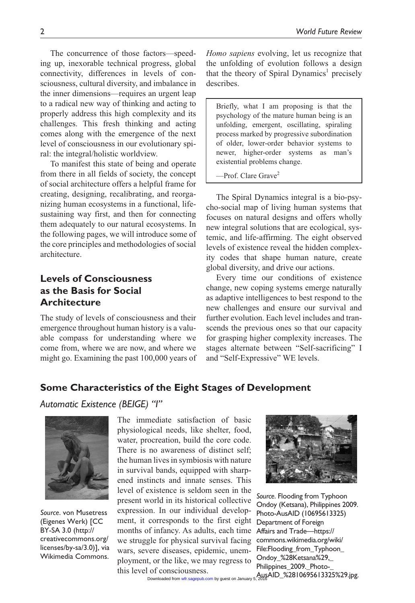The concurrence of those factors—speeding up, inexorable technical progress, global connectivity, differences in levels of consciousness, cultural diversity, and imbalance in the inner dimensions—requires an urgent leap to a radical new way of thinking and acting to properly address this high complexity and its challenges. This fresh thinking and acting comes along with the emergence of the next level of consciousness in our evolutionary spiral: the integral/holistic worldview.

To manifest this state of being and operate from there in all fields of society, the concept of social architecture offers a helpful frame for creating, designing, recalibrating, and reorganizing human ecosystems in a functional, lifesustaining way first, and then for connecting them adequately to our natural ecosystems. In the following pages, we will introduce some of the core principles and methodologies of social architecture.

# **Levels of Consciousness as the Basis for Social Architecture**

The study of levels of consciousness and their emergence throughout human history is a valuable compass for understanding where we come from, where we are now, and where we might go. Examining the past 100,000 years of *Homo sapiens* evolving, let us recognize that the unfolding of evolution follows a design that the theory of Spiral Dynamics<sup>1</sup> precisely describes.

Briefly, what I am proposing is that the psychology of the mature human being is an unfolding, emergent, oscillating, spiraling process marked by progressive subordination of older, lower-order behavior systems to newer, higher-order systems as man's existential problems change.

 $-$ Prof. Clare Grave $^2$ 

The Spiral Dynamics integral is a bio-psycho-social map of living human systems that focuses on natural designs and offers wholly new integral solutions that are ecological, systemic, and life-affirming. The eight observed levels of existence reveal the hidden complexity codes that shape human nature, create global diversity, and drive our actions.

Every time our conditions of existence change, new coping systems emerge naturally as adaptive intelligences to best respond to the new challenges and ensure our survival and further evolution. Each level includes and transcends the previous ones so that our capacity for grasping higher complexity increases. The stages alternate between "Self-sacrificing" I and "Self-Expressive" WE levels.

# **Some Characteristics of the Eight Stages of Development**

### *Automatic Existence (BEIGE) "I"*



*Source*. von Musetress (Eigenes Werk) [CC BY-SA 3.0 [\(http://](http://creativecommons.org/licenses/by-sa/3.0) [creativecommons.org/](http://creativecommons.org/licenses/by-sa/3.0) [licenses/by-sa/3.0\)](http://creativecommons.org/licenses/by-sa/3.0)], via Wikimedia Commons.

The immediate satisfaction of basic physiological needs, like shelter, food, water, procreation, build the core code. There is no awareness of distinct self; the human lives in symbiosis with nature in survival bands, equipped with sharpened instincts and innate senses. This level of existence is seldom seen in the present world in its historical collective expression. In our individual development, it corresponds to the first eight months of infancy. As adults, each time we struggle for physical survival facing wars, severe diseases, epidemic, unemployment, or the like, we may regress to this level of consciousness.



*Source*. Flooding from Typhoon Ondoy (Ketsana), Philippines 2009. Photo-AusAID (10695613325) Department of Foreign Affairs and Trade—[https://](https://commons.wikimedia.org/wiki/File:Flooding_from_Typhoon_Ondoy_%28Ketsana%29,_Philippines_2009._Photo-_AusAID_%2810695613325%29.jpg) [commons.wikimedia.org/wiki/](https://commons.wikimedia.org/wiki/File:Flooding_from_Typhoon_Ondoy_%28Ketsana%29,_Philippines_2009._Photo-_AusAID_%2810695613325%29.jpg) [File:Flooding\\_from\\_Typhoon\\_](https://commons.wikimedia.org/wiki/File:Flooding_from_Typhoon_Ondoy_%28Ketsana%29,_Philippines_2009._Photo-_AusAID_%2810695613325%29.jpg) [Ondoy\\_%28Ketsana%29,\\_](https://commons.wikimedia.org/wiki/File:Flooding_from_Typhoon_Ondoy_%28Ketsana%29,_Philippines_2009._Photo-_AusAID_%2810695613325%29.jpg) [Philippines\\_2009.\\_Photo-\\_](https://commons.wikimedia.org/wiki/File:Flooding_from_Typhoon_Ondoy_%28Ketsana%29,_Philippines_2009._Photo-_AusAID_%2810695613325%29.jpg)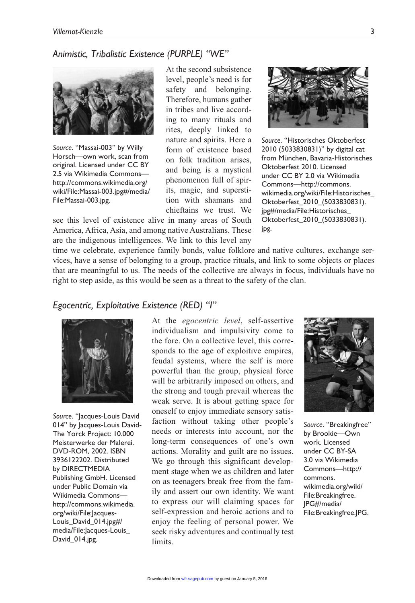# *Animistic, Tribalistic Existence (PURPLE) "WE"*



*Source*. "Massai-003" by Willy Horsch—own work, scan from original. Licensed under CC BY 2.5 via Wikimedia Commons [http://commons.wikimedia.org/](http://commons.wikimedia.org/wiki/File:Massai-003.jpg#/media/File:Massai-003.jpg) [wiki/File:Massai-003.jpg#/media/](http://commons.wikimedia.org/wiki/File:Massai-003.jpg#/media/File:Massai-003.jpg) [File:Massai-003.jpg.](http://commons.wikimedia.org/wiki/File:Massai-003.jpg#/media/File:Massai-003.jpg)

At the second subsistence level, people's need is for safety and belonging. Therefore, humans gather in tribes and live according to many rituals and rites, deeply linked to nature and spirits. Here a form of existence based on folk tradition arises, and being is a mystical phenomenon full of spirits, magic, and superstition with shamans and chieftains we trust. We

see this level of existence alive in many areas of South America, Africa, Asia, and among native Australians. These are the indigenous intelligences. We link to this level any



*Source*. "Historisches Oktoberfest 2010 (5033830831)" by digital cat from München, Bavaria-Historisches Oktoberfest 2010. Licensed under CC BY 2.0 via Wikimedia Commons[—http://commons.](http://commons.wikimedia.org/wiki/File:Historisches_Oktoberfest_2010_(5033830831).jpg#/media/File:Historisches_Oktoberfest_2010_(5033830831).jpg) [wikimedia.org/wiki/File:Historisches\\_](http://commons.wikimedia.org/wiki/File:Historisches_Oktoberfest_2010_(5033830831).jpg#/media/File:Historisches_Oktoberfest_2010_(5033830831).jpg) [Oktoberfest\\_2010\\_\(5033830831\).](http://commons.wikimedia.org/wiki/File:Historisches_Oktoberfest_2010_(5033830831).jpg#/media/File:Historisches_Oktoberfest_2010_(5033830831).jpg) [jpg#/media/File:Historisches\\_](http://commons.wikimedia.org/wiki/File:Historisches_Oktoberfest_2010_(5033830831).jpg#/media/File:Historisches_Oktoberfest_2010_(5033830831).jpg) [Oktoberfest\\_2010\\_\(5033830831\).](http://commons.wikimedia.org/wiki/File:Historisches_Oktoberfest_2010_(5033830831).jpg#/media/File:Historisches_Oktoberfest_2010_(5033830831).jpg) [jpg.](http://commons.wikimedia.org/wiki/File:Historisches_Oktoberfest_2010_(5033830831).jpg#/media/File:Historisches_Oktoberfest_2010_(5033830831).jpg)

time we celebrate, experience family bonds, value folklore and native cultures, exchange services, have a sense of belonging to a group, practice rituals, and link to some objects or places that are meaningful to us. The needs of the collective are always in focus, individuals have no right to step aside, as this would be seen as a threat to the safety of the clan.

### *Egocentric, Exploitative Existence (RED) "I"*



*Source*. "Jacques-Louis David 014" by Jacques-Louis David-The Yorck Project: 10.000 Meisterwerke der Malerei. DVD-ROM, 2002. ISBN 3936122202. Distributed by DIRECTMEDIA Publishing GmbH. Licensed under Public Domain via Wikimedia Commons [http://commons.wikimedia.](http://commons.wikimedia.org/wiki/File:Jacques-Louis_David_014.jpg#/media/File:Jacques-Louis_David_014.jpg) [org/wiki/File:Jacques-](http://commons.wikimedia.org/wiki/File:Jacques-Louis_David_014.jpg#/media/File:Jacques-Louis_David_014.jpg)[Louis\\_David\\_014.jpg#/](http://commons.wikimedia.org/wiki/File:Jacques-Louis_David_014.jpg#/media/File:Jacques-Louis_David_014.jpg) [media/File:Jacques-Louis\\_](http://commons.wikimedia.org/wiki/File:Jacques-Louis_David_014.jpg#/media/File:Jacques-Louis_David_014.jpg) [David\\_014.jpg](http://commons.wikimedia.org/wiki/File:Jacques-Louis_David_014.jpg#/media/File:Jacques-Louis_David_014.jpg).

At the *egocentric level*, self-assertive individualism and impulsivity come to the fore. On a collective level, this corresponds to the age of exploitive empires, feudal systems, where the self is more powerful than the group, physical force will be arbitrarily imposed on others, and the strong and tough prevail whereas the weak serve. It is about getting space for oneself to enjoy immediate sensory satisfaction without taking other people's needs or interests into account, nor the long-term consequences of one's own actions. Morality and guilt are no issues. We go through this significant development stage when we as children and later on as teenagers break free from the family and assert our own identity. We want to express our will claiming spaces for self-expression and heroic actions and to enjoy the feeling of personal power. We seek risky adventures and continually test limits.



*Source*. "Breakingfree" by Brookie—Own work. Licensed under CC BY-SA 3.0 via Wikimedia Commons—[http://](http://commons.wikimedia.org/wiki/File:Breakingfree.JPG#/media/File:Breakingfree.JPG) [commons.](http://commons.wikimedia.org/wiki/File:Breakingfree.JPG#/media/File:Breakingfree.JPG) [wikimedia.org/wiki/](http://commons.wikimedia.org/wiki/File:Breakingfree.JPG#/media/File:Breakingfree.JPG) [File:Breakingfree.](http://commons.wikimedia.org/wiki/File:Breakingfree.JPG#/media/File:Breakingfree.JPG) [JPG#/media/](http://commons.wikimedia.org/wiki/File:Breakingfree.JPG#/media/File:Breakingfree.JPG) [File:Breakingfree.JPG](http://commons.wikimedia.org/wiki/File:Breakingfree.JPG#/media/File:Breakingfree.JPG).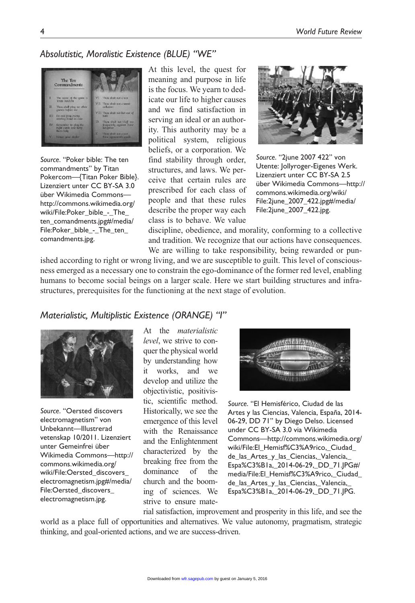# *Absolutistic, Moralistic Existence (BLUE) "WE"*



*Source*. "Poker bible: The ten commandments" by Titan Pokercom—{Titan Poker Bible}. Lizenziert unter CC BY-SA 3.0 über Wikimedia Commons [http://commons.wikimedia.org/](http://commons.wikimedia.org/wiki/File:Poker_bible_-_The_ten_comandments.jpg#/media/File:Poker_bible_-_The_ten_comandments.jpg) [wiki/File:Poker\\_bible\\_-\\_The\\_](http://commons.wikimedia.org/wiki/File:Poker_bible_-_The_ten_comandments.jpg#/media/File:Poker_bible_-_The_ten_comandments.jpg) [ten\\_comandments.jpg#/media/](http://commons.wikimedia.org/wiki/File:Poker_bible_-_The_ten_comandments.jpg#/media/File:Poker_bible_-_The_ten_comandments.jpg) [File:Poker\\_bible\\_-\\_The\\_ten\\_](http://commons.wikimedia.org/wiki/File:Poker_bible_-_The_ten_comandments.jpg#/media/File:Poker_bible_-_The_ten_comandments.jpg) [comandments.jpg](http://commons.wikimedia.org/wiki/File:Poker_bible_-_The_ten_comandments.jpg#/media/File:Poker_bible_-_The_ten_comandments.jpg).

At this level, the quest for meaning and purpose in life is the focus. We yearn to dedicate our life to higher causes and we find satisfaction in serving an ideal or an authority. This authority may be a political system, religious beliefs, or a corporation. We find stability through order, structures, and laws. We perceive that certain rules are prescribed for each class of people and that these rules describe the proper way each class is to behave. We value



*Source*. "2june 2007 422" von Utente: Jollyroger-Eigenes Werk. Lizenziert unter CC BY-SA 2.5 über Wikimedia Commons—[http://](http://commons.wikimedia.org/wiki/File:2june_2007_422.jpg#/media/File:2june_2007_422.jpg) [commons.wikimedia.org/wiki/](http://commons.wikimedia.org/wiki/File:2june_2007_422.jpg#/media/File:2june_2007_422.jpg) [File:2june\\_2007\\_422.jpg#/media/](http://commons.wikimedia.org/wiki/File:2june_2007_422.jpg#/media/File:2june_2007_422.jpg) [File:2june\\_2007\\_422.jpg.](http://commons.wikimedia.org/wiki/File:2june_2007_422.jpg#/media/File:2june_2007_422.jpg)

discipline, obedience, and morality, conforming to a collective and tradition. We recognize that our actions have consequences. We are willing to take responsibility, being rewarded or pun-

ished according to right or wrong living, and we are susceptible to guilt. This level of consciousness emerged as a necessary one to constrain the ego-dominance of the former red level, enabling humans to become social beings on a larger scale. Here we start building structures and infrastructures, prerequisites for the functioning at the next stage of evolution.

### *Materialistic, Multiplistic Existence (ORANGE) "I"*



*Source*. "Oersted discovers electromagnetism" von Unbekannt—Illustrerad vetenskap 10/2011. Lizenziert unter Gemeinfrei über Wikimedia Commons—[http://](http://commons.wikimedia.org/wiki/File:Oersted_discovers_electromagnetism.jpg#/media/File:Oersted_discovers_electromagnetism.jpg) [commons.wikimedia.org/](http://commons.wikimedia.org/wiki/File:Oersted_discovers_electromagnetism.jpg#/media/File:Oersted_discovers_electromagnetism.jpg) [wiki/File:Oersted\\_discovers\\_](http://commons.wikimedia.org/wiki/File:Oersted_discovers_electromagnetism.jpg#/media/File:Oersted_discovers_electromagnetism.jpg) [electromagnetism.jpg#/media/](http://commons.wikimedia.org/wiki/File:Oersted_discovers_electromagnetism.jpg#/media/File:Oersted_discovers_electromagnetism.jpg) [File:Oersted\\_discovers\\_](http://commons.wikimedia.org/wiki/File:Oersted_discovers_electromagnetism.jpg#/media/File:Oersted_discovers_electromagnetism.jpg) [electromagnetism.jpg](http://commons.wikimedia.org/wiki/File:Oersted_discovers_electromagnetism.jpg#/media/File:Oersted_discovers_electromagnetism.jpg).

At the *materialistic level*, we strive to conquer the physical world by understanding how it works, and we develop and utilize the objectivistic, positivistic, scientific method. Historically, we see the emergence of this level with the Renaissance and the Enlightenment characterized by the breaking free from the dominance of the church and the booming of sciences. We strive to ensure mate-



*Source*. "El Hemisférico, Ciudad de las Artes y las Ciencias, Valencia, España, 2014- 06-29, DD 71" by Diego Delso. Licensed under CC BY-SA 3.0 via Wikimedia Commons[—http://commons.wikimedia.org/](http://commons.wikimedia.org/wiki/File:El_Hemisf%C3%A9rico,_Ciudad_de_las_Artes_y_las_Ciencias,_Valencia,_Espa%C3%B1a,_2014-06-29,_DD_71.JPG#/media/File:El_Hemisf%C3%A9rico,_Ciudad_de_las_Artes_y_las_Ciencias,_Valencia,_Espa%C3%B1a,_2014-06-29,_DD_71.JPG) [wiki/File:El\\_Hemisf%C3%A9rico,\\_Ciudad\\_](http://commons.wikimedia.org/wiki/File:El_Hemisf%C3%A9rico,_Ciudad_de_las_Artes_y_las_Ciencias,_Valencia,_Espa%C3%B1a,_2014-06-29,_DD_71.JPG#/media/File:El_Hemisf%C3%A9rico,_Ciudad_de_las_Artes_y_las_Ciencias,_Valencia,_Espa%C3%B1a,_2014-06-29,_DD_71.JPG) [de\\_las\\_Artes\\_y\\_las\\_Ciencias,\\_Valencia,\\_](http://commons.wikimedia.org/wiki/File:El_Hemisf%C3%A9rico,_Ciudad_de_las_Artes_y_las_Ciencias,_Valencia,_Espa%C3%B1a,_2014-06-29,_DD_71.JPG#/media/File:El_Hemisf%C3%A9rico,_Ciudad_de_las_Artes_y_las_Ciencias,_Valencia,_Espa%C3%B1a,_2014-06-29,_DD_71.JPG) [Espa%C3%B1a,\\_2014-06-29,\\_DD\\_71.JPG#/](http://commons.wikimedia.org/wiki/File:El_Hemisf%C3%A9rico,_Ciudad_de_las_Artes_y_las_Ciencias,_Valencia,_Espa%C3%B1a,_2014-06-29,_DD_71.JPG#/media/File:El_Hemisf%C3%A9rico,_Ciudad_de_las_Artes_y_las_Ciencias,_Valencia,_Espa%C3%B1a,_2014-06-29,_DD_71.JPG) [media/File:El\\_Hemisf%C3%A9rico,\\_Ciudad\\_](http://commons.wikimedia.org/wiki/File:El_Hemisf%C3%A9rico,_Ciudad_de_las_Artes_y_las_Ciencias,_Valencia,_Espa%C3%B1a,_2014-06-29,_DD_71.JPG#/media/File:El_Hemisf%C3%A9rico,_Ciudad_de_las_Artes_y_las_Ciencias,_Valencia,_Espa%C3%B1a,_2014-06-29,_DD_71.JPG) [de\\_las\\_Artes\\_y\\_las\\_Ciencias,\\_Valencia,\\_](http://commons.wikimedia.org/wiki/File:El_Hemisf%C3%A9rico,_Ciudad_de_las_Artes_y_las_Ciencias,_Valencia,_Espa%C3%B1a,_2014-06-29,_DD_71.JPG#/media/File:El_Hemisf%C3%A9rico,_Ciudad_de_las_Artes_y_las_Ciencias,_Valencia,_Espa%C3%B1a,_2014-06-29,_DD_71.JPG) [Espa%C3%B1a,\\_2014-06-29,\\_DD\\_71.JPG](http://commons.wikimedia.org/wiki/File:El_Hemisf%C3%A9rico,_Ciudad_de_las_Artes_y_las_Ciencias,_Valencia,_Espa%C3%B1a,_2014-06-29,_DD_71.JPG#/media/File:El_Hemisf%C3%A9rico,_Ciudad_de_las_Artes_y_las_Ciencias,_Valencia,_Espa%C3%B1a,_2014-06-29,_DD_71.JPG).

rial satisfaction, improvement and prosperity in this life, and see the world as a place full of opportunities and alternatives. We value autonomy, pragmatism, strategic thinking, and goal-oriented actions, and we are success-driven.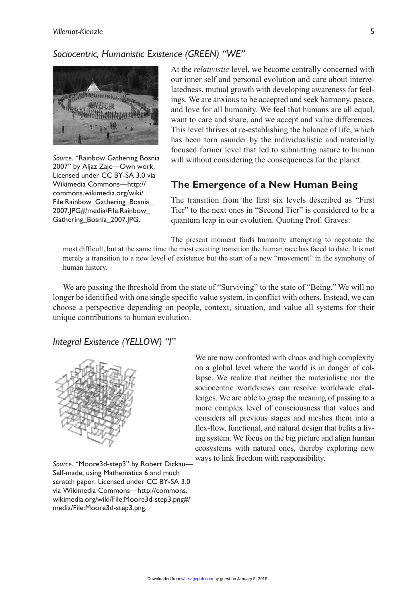### *Sociocentric, Humanistic Existence (GREEN) "WE"*



*Source*. "Rainbow Gathering Bosnia 2007" by Aljaz Zajc—Own work. Licensed under CC BY-SA 3.0 via Wikimedia Commons—[http://](http://commons.wikimedia.org/wiki/File:Rainbow_Gathering_Bosnia_) [commons.wikimedia.org/wiki/](http://commons.wikimedia.org/wiki/File:Rainbow_Gathering_Bosnia_) [File:Rainbow\\_Gathering\\_Bosnia\\_](http://commons.wikimedia.org/wiki/File:Rainbow_Gathering_Bosnia_)  2007.JPG#/media/File:Rainbow\_ Gathering\_Bosnia\_2007.JPG.

At the *relativistic* level, we become centrally concerned with our inner self and personal evolution and care about interrelatedness, mutual growth with developing awareness for feelings. We are anxious to be accepted and seek harmony, peace, and love for all humanity. We feel that humans are all equal, want to care and share, and we accept and value differences. This level thrives at re-establishing the balance of life, which has been torn asunder by the individualistic and materially focused former level that led to submitting nature to human will without considering the consequences for the planet.

### **The Emergence of a New Human Being**

The transition from the first six levels described as "First Tier" to the next ones in "Second Tier" is considered to be a quantum leap in our evolution. Quoting Prof. Graves:

The present moment finds humanity attempting to negotiate the most difficult, but at the same time the most exciting transition the human race has faced to date. It is not merely a transition to a new level of existence but the start of a new "movement" in the symphony of human history.

We are passing the threshold from the state of "Surviving" to the state of "Being." We will no longer be identified with one single specific value system, in conflict with others. Instead, we can choose a perspective depending on people, context, situation, and value all systems for their unique contributions to human evolution.

### *Integral Existence (YELLOW) "I"*



*Source*. "Moore3d-step3" by Robert Dickau— Self-made, using Mathematica 6 and much scratch paper. Licensed under CC BY-SA 3.0 via Wikimedia Commons[—http://commons.](http://commons.wikimedia.org/wiki/File:Moore3d-step3.png#/media/File:Moore3d-step3.png) [wikimedia.org/wiki/File:Moore3d-step3.png#/](http://commons.wikimedia.org/wiki/File:Moore3d-step3.png#/media/File:Moore3d-step3.png) [media/File:Moore3d-step3.png](http://commons.wikimedia.org/wiki/File:Moore3d-step3.png#/media/File:Moore3d-step3.png).

We are now confronted with chaos and high complexity on a global level where the world is in danger of collapse. We realize that neither the materialistic nor the sociocentric worldviews can resolve worldwide challenges. We are able to grasp the meaning of passing to a more complex level of consciousness that values and considers all previous stages and meshes them into a flex-flow, functional, and natural design that befits a living system. We focus on the big picture and align human ecosystems with natural ones, thereby exploring new ways to link freedom with responsibility.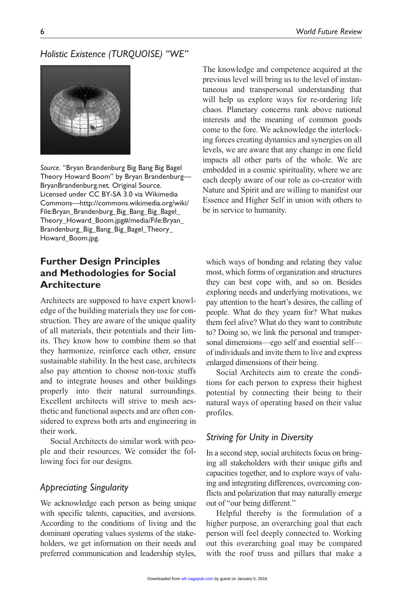# *Holistic Existence (TURQUOISE) "WE"*



*Source*. "Bryan Brandenburg Big Bang Big Bagel Theory Howard Boom" by Bryan Brandenburg— BryanBrandenburg.net. Original Source. Licensed under CC BY-SA 3.0 via Wikimedia Commons[—http://commons.wikimedia.org/wiki/](http://commons.wikimedia.org/wiki/File:Bryan_Brandenburg_Big_Bang_Big_Bagel_Theory_Howard_Boom.jpg#/media/File:Bryan_Brandenburg_Big_Bang_Big_Bagel_Theory_Howard_Boom.jpg) [File:Bryan\\_Brandenburg\\_Big\\_Bang\\_Big\\_Bagel\\_](http://commons.wikimedia.org/wiki/File:Bryan_Brandenburg_Big_Bang_Big_Bagel_Theory_Howard_Boom.jpg#/media/File:Bryan_Brandenburg_Big_Bang_Big_Bagel_Theory_Howard_Boom.jpg) [Theory\\_Howard\\_Boom.jpg#/media/File:Bryan\\_](http://commons.wikimedia.org/wiki/File:Bryan_Brandenburg_Big_Bang_Big_Bagel_Theory_Howard_Boom.jpg#/media/File:Bryan_Brandenburg_Big_Bang_Big_Bagel_Theory_Howard_Boom.jpg) [Brandenburg\\_Big\\_Bang\\_Big\\_Bagel\\_Theory\\_](http://commons.wikimedia.org/wiki/File:Bryan_Brandenburg_Big_Bang_Big_Bagel_Theory_Howard_Boom.jpg#/media/File:Bryan_Brandenburg_Big_Bang_Big_Bagel_Theory_Howard_Boom.jpg) [Howard\\_Boom.jpg.](http://commons.wikimedia.org/wiki/File:Bryan_Brandenburg_Big_Bang_Big_Bagel_Theory_Howard_Boom.jpg#/media/File:Bryan_Brandenburg_Big_Bang_Big_Bagel_Theory_Howard_Boom.jpg)

# **Further Design Principles and Methodologies for Social Architecture**

Architects are supposed to have expert knowledge of the building materials they use for construction. They are aware of the unique quality of all materials, their potentials and their limits. They know how to combine them so that they harmonize, reinforce each other, ensure sustainable stability. In the best case, architects also pay attention to choose non-toxic stuffs and to integrate houses and other buildings properly into their natural surroundings. Excellent architects will strive to mesh aesthetic and functional aspects and are often considered to express both arts and engineering in their work.

Social Architects do similar work with people and their resources. We consider the following foci for our designs.

### *Appreciating Singularity*

We acknowledge each person as being unique with specific talents, capacities, and aversions. According to the conditions of living and the dominant operating values systems of the stakeholders, we get information on their needs and preferred communication and leadership styles, The knowledge and competence acquired at the previous level will bring us to the level of instantaneous and transpersonal understanding that will help us explore ways for re-ordering life chaos. Planetary concerns rank above national interests and the meaning of common goods come to the fore. We acknowledge the interlocking forces creating dynamics and synergies on all levels, we are aware that any change in one field impacts all other parts of the whole. We are embedded in a cosmic spirituality, where we are each deeply aware of our role as co-creator with Nature and Spirit and are willing to manifest our Essence and Higher Self in union with others to be in service to humanity.

which ways of bonding and relating they value most, which forms of organization and structures they can best cope with, and so on. Besides exploring needs and underlying motivations, we pay attention to the heart's desires, the calling of people. What do they yearn for? What makes them feel alive? What do they want to contribute to? Doing so, we link the personal and transpersonal dimensions—ego self and essential self of individuals and invite them to live and express enlarged dimensions of their being.

Social Architects aim to create the conditions for each person to express their highest potential by connecting their being to their natural ways of operating based on their value profiles.

### *Striving for Unity in Diversity*

In a second step, social architects focus on bringing all stakeholders with their unique gifts and capacities together, and to explore ways of valuing and integrating differences, overcoming conflicts and polarization that may naturally emerge out of "our being different."

Helpful thereby is the formulation of a higher purpose, an overarching goal that each person will feel deeply connected to. Working out this overarching goal may be compared with the roof truss and pillars that make a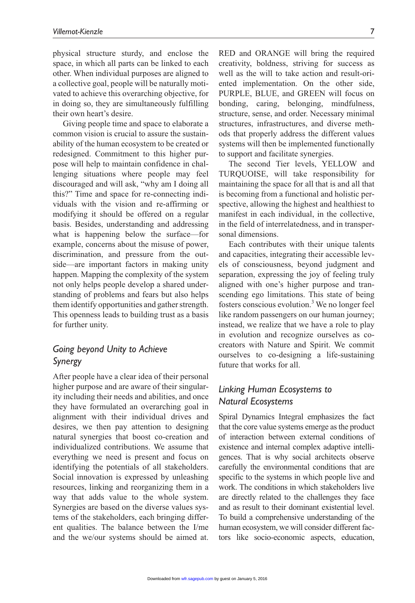physical structure sturdy, and enclose the space, in which all parts can be linked to each other. When individual purposes are aligned to a collective goal, people will be naturally motivated to achieve this overarching objective, for in doing so, they are simultaneously fulfilling their own heart's desire.

Giving people time and space to elaborate a common vision is crucial to assure the sustainability of the human ecosystem to be created or redesigned. Commitment to this higher purpose will help to maintain confidence in challenging situations where people may feel discouraged and will ask, "why am I doing all this?" Time and space for re-connecting individuals with the vision and re-affirming or modifying it should be offered on a regular basis. Besides, understanding and addressing what is happening below the surface—for example, concerns about the misuse of power, discrimination, and pressure from the outside—are important factors in making unity happen. Mapping the complexity of the system not only helps people develop a shared understanding of problems and fears but also helps them identify opportunities and gather strength. This openness leads to building trust as a basis for further unity.

# *Going beyond Unity to Achieve Synergy*

After people have a clear idea of their personal higher purpose and are aware of their singularity including their needs and abilities, and once they have formulated an overarching goal in alignment with their individual drives and desires, we then pay attention to designing natural synergies that boost co-creation and individualized contributions. We assume that everything we need is present and focus on identifying the potentials of all stakeholders. Social innovation is expressed by unleashing resources, linking and reorganizing them in a way that adds value to the whole system. Synergies are based on the diverse values systems of the stakeholders, each bringing different qualities. The balance between the I/me and the we/our systems should be aimed at.

RED and ORANGE will bring the required creativity, boldness, striving for success as well as the will to take action and result-oriented implementation. On the other side, PURPLE, BLUE, and GREEN will focus on bonding, caring, belonging, mindfulness, structure, sense, and order. Necessary minimal structures, infrastructures, and diverse methods that properly address the different values systems will then be implemented functionally to support and facilitate synergies.

The second Tier levels, YELLOW and TURQUOISE, will take responsibility for maintaining the space for all that is and all that is becoming from a functional and holistic perspective, allowing the highest and healthiest to manifest in each individual, in the collective, in the field of interrelatedness, and in transpersonal dimensions.

Each contributes with their unique talents and capacities, integrating their accessible levels of consciousness, beyond judgment and separation, expressing the joy of feeling truly aligned with one's higher purpose and transcending ego limitations. This state of being fosters conscious evolution.<sup>3</sup> We no longer feel like random passengers on our human journey; instead, we realize that we have a role to play in evolution and recognize ourselves as cocreators with Nature and Spirit. We commit ourselves to co-designing a life-sustaining future that works for all.

# *Linking Human Ecosystems to Natural Ecosystems*

Spiral Dynamics Integral emphasizes the fact that the core value systems emerge as the product of interaction between external conditions of existence and internal complex adaptive intelligences. That is why social architects observe carefully the environmental conditions that are specific to the systems in which people live and work. The conditions in which stakeholders live are directly related to the challenges they face and as result to their dominant existential level. To build a comprehensive understanding of the human ecosystem, we will consider different factors like socio-economic aspects, education,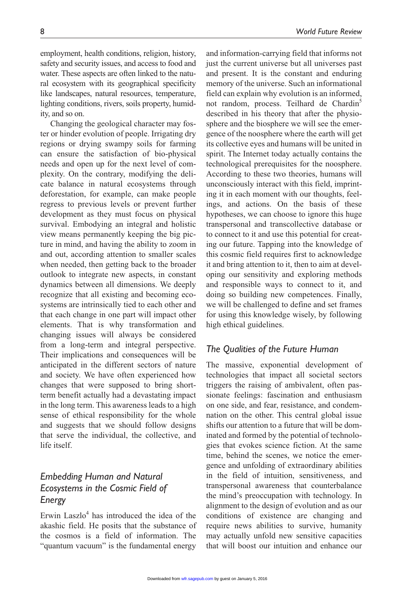employment, health conditions, religion, history, safety and security issues, and access to food and water. These aspects are often linked to the natural ecosystem with its geographical specificity like landscapes, natural resources, temperature, lighting conditions, rivers, soils property, humidity, and so on.

Changing the geological character may foster or hinder evolution of people. Irrigating dry regions or drying swampy soils for farming can ensure the satisfaction of bio-physical needs and open up for the next level of complexity. On the contrary, modifying the delicate balance in natural ecosystems through deforestation, for example, can make people regress to previous levels or prevent further development as they must focus on physical survival. Embodying an integral and holistic view means permanently keeping the big picture in mind, and having the ability to zoom in and out, according attention to smaller scales when needed, then getting back to the broader outlook to integrate new aspects, in constant dynamics between all dimensions. We deeply recognize that all existing and becoming ecosystems are intrinsically tied to each other and that each change in one part will impact other elements. That is why transformation and changing issues will always be considered from a long-term and integral perspective. Their implications and consequences will be anticipated in the different sectors of nature and society. We have often experienced how changes that were supposed to bring shortterm benefit actually had a devastating impact in the long term. This awareness leads to a high sense of ethical responsibility for the whole and suggests that we should follow designs that serve the individual, the collective, and life itself.

# *Embedding Human and Natural Ecosystems in the Cosmic Field of Energy*

Erwin Laszlo $4$  has introduced the idea of the akashic field. He posits that the substance of the cosmos is a field of information. The "quantum vacuum" is the fundamental energy

and information-carrying field that informs not just the current universe but all universes past and present. It is the constant and enduring memory of the universe. Such an informational field can explain why evolution is an informed, not random, process. Teilhard de Chardin<sup>5</sup> described in his theory that after the physiosphere and the biosphere we will see the emergence of the noosphere where the earth will get its collective eyes and humans will be united in spirit. The Internet today actually contains the technological prerequisites for the noosphere. According to these two theories, humans will unconsciously interact with this field, imprinting it in each moment with our thoughts, feelings, and actions. On the basis of these hypotheses, we can choose to ignore this huge transpersonal and transcollective database or to connect to it and use this potential for creating our future. Tapping into the knowledge of this cosmic field requires first to acknowledge it and bring attention to it, then to aim at developing our sensitivity and exploring methods and responsible ways to connect to it, and doing so building new competences. Finally, we will be challenged to define and set frames for using this knowledge wisely, by following high ethical guidelines.

### *The Qualities of the Future Human*

The massive, exponential development of technologies that impact all societal sectors triggers the raising of ambivalent, often passionate feelings: fascination and enthusiasm on one side, and fear, resistance, and condemnation on the other. This central global issue shifts our attention to a future that will be dominated and formed by the potential of technologies that evokes science fiction. At the same time, behind the scenes, we notice the emergence and unfolding of extraordinary abilities in the field of intuition, sensitiveness, and transpersonal awareness that counterbalance the mind's preoccupation with technology. In alignment to the design of evolution and as our conditions of existence are changing and require news abilities to survive, humanity may actually unfold new sensitive capacities that will boost our intuition and enhance our